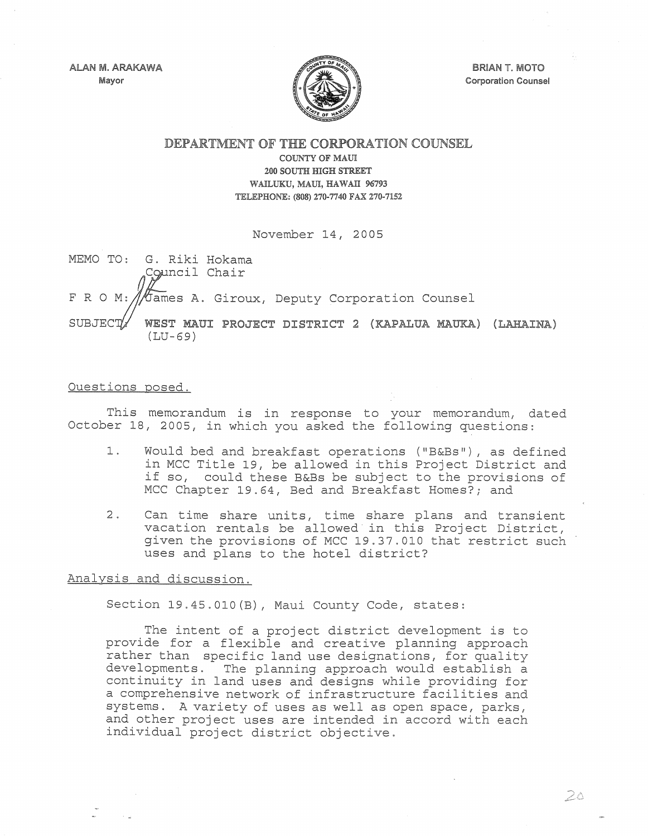ALAN M. ARAKAWA Mayor



**BRIAN T. MOTO** Corporation Counsel

DEPARTMENT OF THE CORPORATION COUNSEL

COUNTY OF MAUl 200 SOUTH mGH STREET WAILUKU, MAUl, HAWAll 96793 TELEPHONE: (808) 270·7740 FAX 270-7152

November 14, 2005

MEMO TO: G. Riki Hokama Council Chair F R O M: ///bames A. Giroux, Deputy Corporation Counsel SUBJECT/ WEST MAUI PROJECT DISTRICT 2 (KAPALUA MAUKA) (LAHAINA) (LU-69)

## Questions posed.

This memorandum is in response to your memorandum, dated October lS, 2005, in which you asked the following questions:

- 1. Would bed and breakfast operations ("B&Bs"), as defined in MCC Title 19, be allowed in this Project District and if so, could these B&Bs be subject to the provisions of MCC Chapter 19.64, Bed and Breakfast Homes?; and
- 2. Can time share units, time share plans and transient vacation rentals be allowed in this Project District, given the provisions of MCC 19.37.010 that restrict such uses and plans to the hotel district?

## Analysis and discussion.

Section 19.45.010(B), Maui County Code, states:

The intent of a project district development is to provide for a flexible and creative planning approach rather than specific land use designations, for quality developments. The planning approach would establish a continuity in land uses and designs while providing for a comprehensive network of infrastructure facilities and systems. A variety of uses as well as open space, parks, and other project uses are intended in accord with each individual project district objective.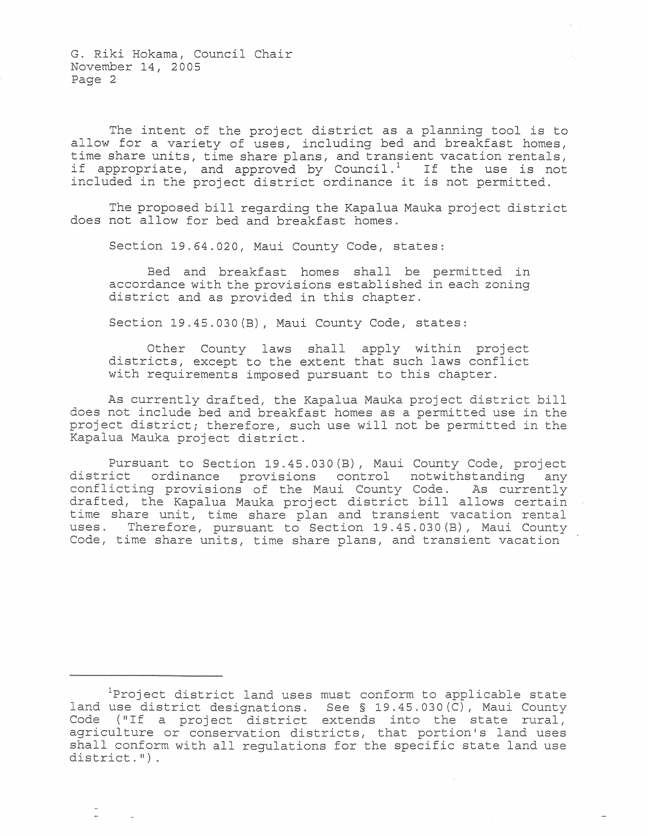G. Riki Hokama, Council Chair November 14, 2005 Page 2

The intent of the project district as a planning tool is to allow for a variety of uses, including bed and breakfast homes, time share units, time share plans, and transient vacation rentals, if appropriate, and approved by Council.<sup>1</sup> If the use is not included in the project district ordinance it is not permitted.

The proposed bill regarding the Kapalua Mauka project district does not allow for bed and breakfast homes.

Section 19.64.020, Maui County Code, states:

Bed and breakfast homes shall be permitted in accordance with the provisions established in each zoning district and as provided in this chapter.

Section 19.45.030(B), Maui County Code, states:

Other County laws shall apply within project districts, except to the extent that such laws conflict with requirements imposed pursuant to this chapter.

As currently drafted, the Kapalua Mauka project district bill does not include bed and breakfast homes as a permitted use in the project districtj therefore, such use will not be permitted in the Kapalua Mauka project district.

Pursuant to Section 19.45.030(B), Maui County Code, project district ordinance provisions control notwithstanding any conflicting provisions of the Maui County Code. As currently drafted, the Kapalua Mauka project district bill allows certain time share unit, time share plan and transient vacation rental uses. Therefore, pursuant to Section 19.45.030(B), Maui County Code, time share units, time share plans, and transient vacation

Project district land uses must conform to applicable state land use district designations. See § 19.45.030(C), Maui County rand due discrice designations. See 3 19:49:090(e), hadi codney<br>Code ("If a project district extends into the state rural, agriculture or conservation districts, that portion's land uses shall conform with all regulations for the specific state land use district. ") .